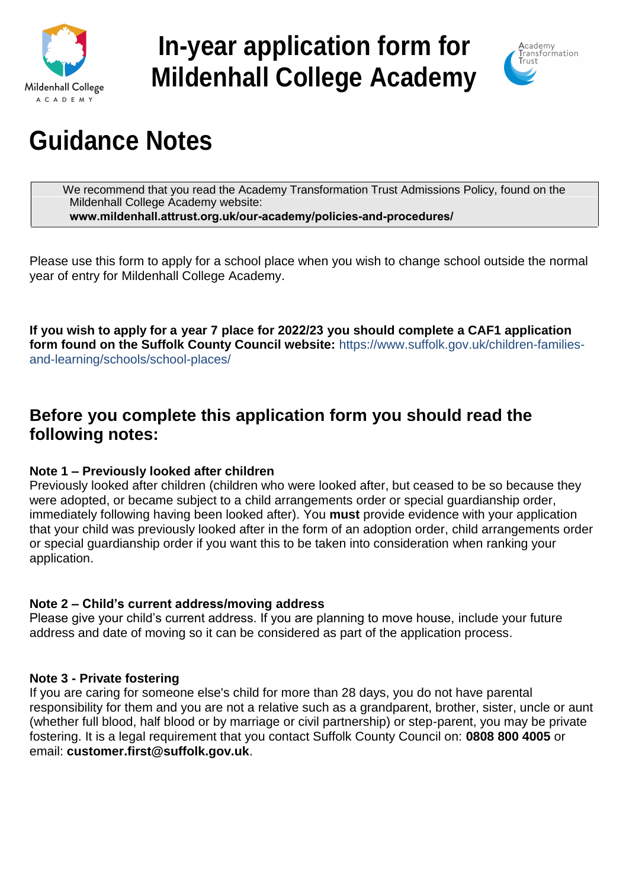

# **In-year application form for Mildenhall College Academy**



# **Guidance Notes**

We recommend that you read the Academy Transformation Trust Admissions Policy, found on the Mildenhall College Academy website: **www.mildenhall.attrust.org.uk/our-academy/policies-and-procedures/**

Please use this form to apply for a school place when you wish to change school outside the normal year of entry for Mildenhall College Academy.

**If you wish to apply for a year 7 place for 2022/23 you should complete a CAF1 application form found on the Suffolk County Council website:** [https://www.suffolk.gov.uk/children-families](https://www.suffolk.gov.uk/children-families-and-learning/schools/school-places/)[and-learning/schools/school-places/](https://www.suffolk.gov.uk/children-families-and-learning/schools/school-places/)

# **Before you complete this application form you should read the following notes:**

# **Note 1 – Previously looked after children**

Previously looked after children (children who were looked after, but ceased to be so because they were adopted, or became subject to a child arrangements order or special guardianship order, immediately following having been looked after). You **must** provide evidence with your application that your child was previously looked after in the form of an adoption order, child arrangements order or special guardianship order if you want this to be taken into consideration when ranking your application.

# **Note 2 – Child's current address/moving address**

Please give your child's current address. If you are planning to move house, include your future address and date of moving so it can be considered as part of the application process.

### **Note 3 - Private fostering**

If you are caring for someone else's child for more than 28 days, you do not have parental responsibility for them and you are not a relative such as a grandparent, brother, sister, uncle or aunt (whether full blood, half blood or by marriage or civil partnership) or step-parent, you may be private fostering. It is a legal requirement that you contact Suffolk County Council on: **0808 800 4005** or email: **[customer.first@suffolk.gov.uk](mailto:customer.first@suffolk.gov.uk)**.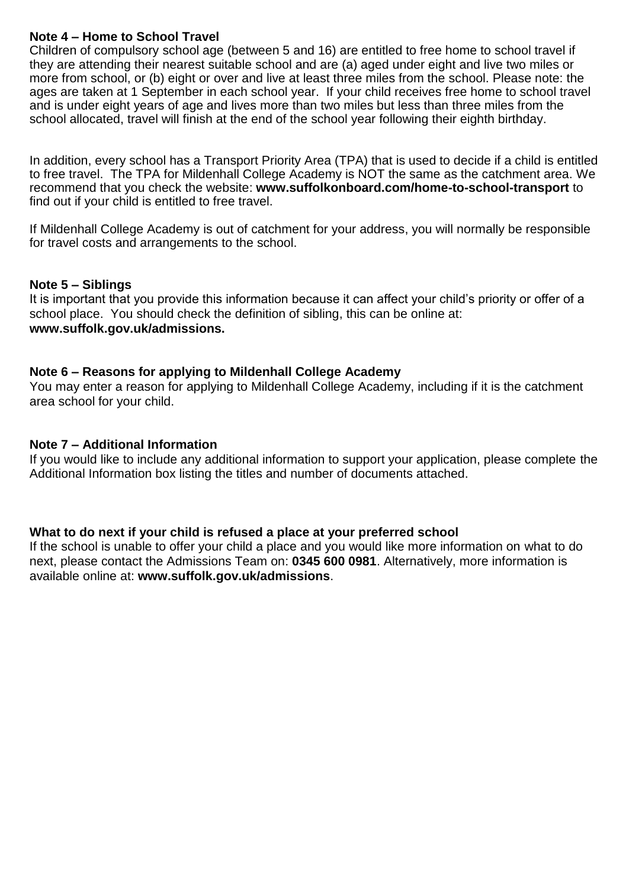### **Note 4 – Home to School Travel**

Children of compulsory school age (between 5 and 16) are entitled to free home to school travel if they are attending their nearest suitable school and are (a) aged under eight and live two miles or more from school, or (b) eight or over and live at least three miles from the school. Please note: the ages are taken at 1 September in each school year. If your child receives free home to school travel and is under eight years of age and lives more than two miles but less than three miles from the school allocated, travel will finish at the end of the school year following their eighth birthday.

In addition, every school has a Transport Priority Area (TPA) that is used to decide if a child is entitled to free travel. The TPA for Mildenhall College Academy is NOT the same as the catchment area. We recommend that you check the website: **www.suffolkonboard.com/home-to-school-transport** to find out if your child is entitled to free travel.

If Mildenhall College Academy is out of catchment for your address, you will normally be responsible for travel costs and arrangements to the school.

#### **Note 5 – Siblings**

It is important that you provide this information because it can affect your child's priority or offer of a school place. You should check the definition of sibling, this can be online at: **www.suffolk.gov.uk/admissions.**

#### **Note 6 – Reasons for applying to Mildenhall College Academy**

You may enter a reason for applying to Mildenhall College Academy, including if it is the catchment area school for your child.

#### **Note 7 – Additional Information**

If you would like to include any additional information to support your application, please complete the Additional Information box listing the titles and number of documents attached.

#### **What to do next if your child is refused a place at your preferred school**

If the school is unable to offer your child a place and you would like more information on what to do next, please contact the Admissions Team on: **0345 600 0981**. Alternatively, more information is available online at: **www.suffolk.gov.uk/admissions**.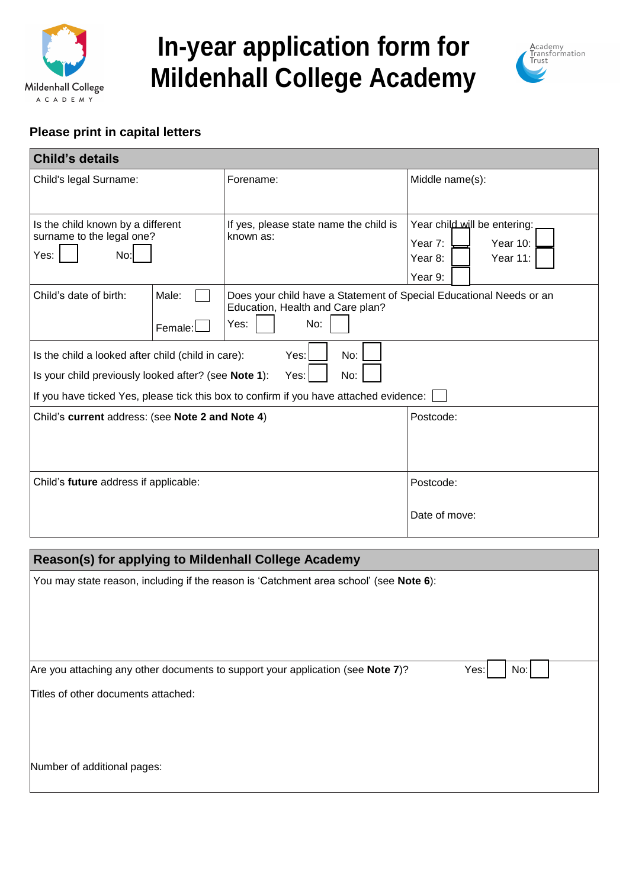

# **In-year application form for Mildenhall College Academy**



### **Please print in capital letters**

| <b>Child's details</b>                                                                                                                   |                                                                                                                        |                                                                                          |  |
|------------------------------------------------------------------------------------------------------------------------------------------|------------------------------------------------------------------------------------------------------------------------|------------------------------------------------------------------------------------------|--|
| Child's legal Surname:                                                                                                                   | Forename:                                                                                                              | Middle name(s):                                                                          |  |
| Is the child known by a different<br>surname to the legal one?<br>No:<br>Yes:                                                            | If yes, please state name the child is<br>known as:                                                                    | Year child will be entering:<br>Year 7:<br>Year $10$ :<br>Year 8:<br>Year 11:<br>Year 9: |  |
| Child's date of birth:<br>Male:<br>Female:                                                                                               | Does your child have a Statement of Special Educational Needs or an<br>Education, Health and Care plan?<br>No:<br>Yes: |                                                                                          |  |
| Yes:<br>No:<br>Is the child a looked after child (child in care):<br>Is your child previously looked after? (see Note 1):<br>No:<br>Yes: |                                                                                                                        |                                                                                          |  |
| If you have ticked Yes, please tick this box to confirm if you have attached evidence:                                                   |                                                                                                                        |                                                                                          |  |
| Child's current address: (see Note 2 and Note 4)                                                                                         |                                                                                                                        | Postcode:                                                                                |  |
| Child's future address if applicable:                                                                                                    |                                                                                                                        | Postcode:                                                                                |  |
|                                                                                                                                          |                                                                                                                        | Date of move:                                                                            |  |

| <b>Reason(s) for applying to Mildenhall College Academy</b>                                                                            |  |  |
|----------------------------------------------------------------------------------------------------------------------------------------|--|--|
| You may state reason, including if the reason is 'Catchment area school' (see Note 6):                                                 |  |  |
| Are you attaching any other documents to support your application (see Note 7)?<br>Yes: <br>No:<br>Titles of other documents attached: |  |  |
| Number of additional pages:                                                                                                            |  |  |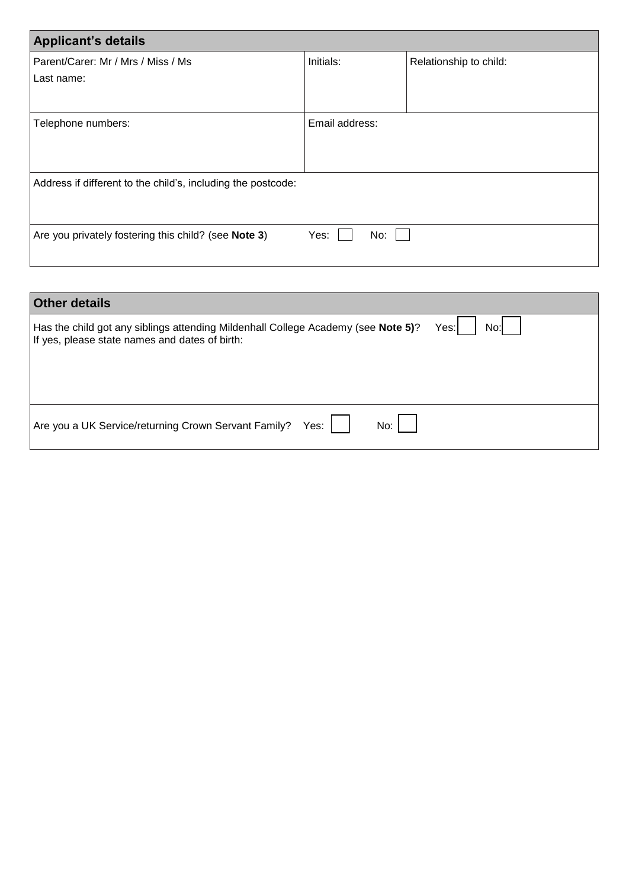| <b>Applicant's details</b>                                   |                |                        |  |
|--------------------------------------------------------------|----------------|------------------------|--|
| Parent/Carer: Mr / Mrs / Miss / Ms                           | Initials:      | Relationship to child: |  |
| Last name:                                                   |                |                        |  |
|                                                              |                |                        |  |
| Telephone numbers:                                           | Email address: |                        |  |
|                                                              |                |                        |  |
|                                                              |                |                        |  |
| Address if different to the child's, including the postcode: |                |                        |  |
|                                                              |                |                        |  |
|                                                              |                |                        |  |
| Are you privately fostering this child? (see Note 3)         | Yes:<br>No:    |                        |  |
|                                                              |                |                        |  |

| <b>Other details</b>                                                                                                                |              |
|-------------------------------------------------------------------------------------------------------------------------------------|--------------|
| Has the child got any siblings attending Mildenhall College Academy (see Note 5)?<br>If yes, please state names and dates of birth: | No:l<br>Yes: |
|                                                                                                                                     |              |
|                                                                                                                                     |              |
| Are you a UK Service/returning Crown Servant Family?<br>No:<br>Yes:                                                                 |              |